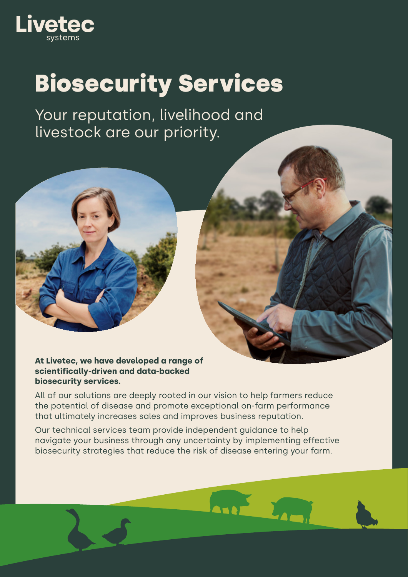

Your reputation, livelihood and livestock are our priority.



#### **At Livetec, we have developed a range of scientifically-driven and data-backed biosecurity services.**

All of our solutions are deeply rooted in our vision to help farmers reduce the potential of disease and promote exceptional on-farm performance that ultimately increases sales and improves business reputation.

Our technical services team provide independent guidance to help navigate your business through any uncertainty by implementing effective biosecurity strategies that reduce the risk of disease entering your farm.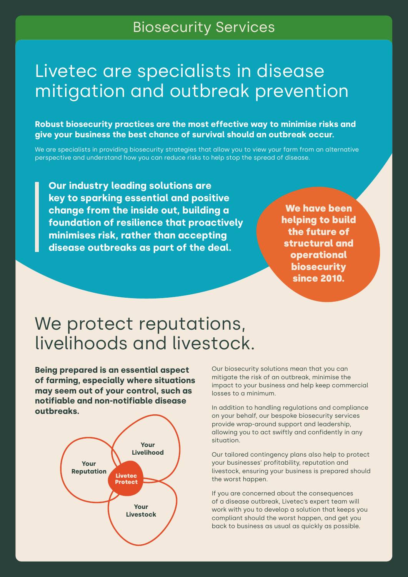### Livetec are specialists in disease mitigation and outbreak prevention

**Robust biosecurity practices are the most effective way to minimise risks and give your business the best chance of survival should an outbreak occur.**

We are specialists in providing biosecurity strategies that allow you to view your farm from an alternative perspective and understand how you can reduce risks to help stop the spread of disease.

**Our industry leading solutions are key to sparking essential and positive change from the inside out, building a foundation of resilience that proactively minimises risk, rather than accepting disease outbreaks as part of the deal.**

We have been helping to build the future of structural and operational biosecurity since 2010.

### We protect reputations, livelihoods and livestock.

**Being prepared is an essential aspect of farming, especially where situations may seem out of your control, such as notifiable and non-notifiable disease outbreaks.**



Our biosecurity solutions mean that you can mitigate the risk of an outbreak, minimise the impact to your business and help keep commercial losses to a minimum.

In addition to handling regulations and compliance on your behalf, our bespoke biosecurity services provide wrap-around support and leadership, allowing you to act swiftly and confidently in any situation.

Our tailored contingency plans also help to protect your businesses' profitability, reputation and livestock, ensuring your business is prepared should the worst happen.

If you are concerned about the consequences of a disease outbreak, Livetec's expert team will work with you to develop a solution that keeps you compliant should the worst happen, and get you back to business as usual as quickly as possible.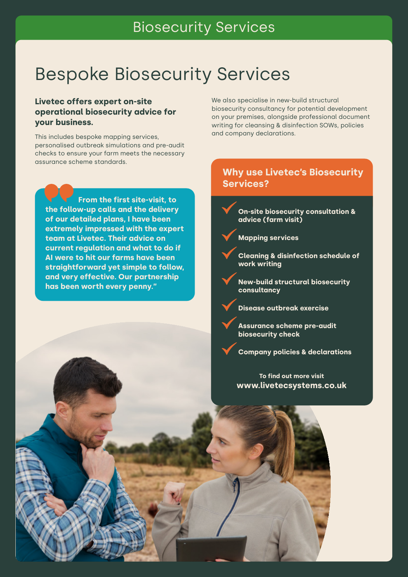## Bespoke Biosecurity Services

#### **Livetec offers expert on-site operational biosecurity advice for your business.**

This includes bespoke mapping services, personalised outbreak simulations and pre-audit checks to ensure your farm meets the necessary assurance scheme standards.

**From the first site-visit, to the follow-up calls and the delivery of our detailed plans, I have been extremely impressed with the expert team at Livetec. Their advice on current regulation and what to do if AI were to hit our farms have been straightforward yet simple to follow, and very effective. Our partnership has been worth every penny."**

We also specialise in new-build structural biosecurity consultancy for potential development on your premises, alongside professional document writing for cleansing & disinfection SOWs, policies and company declarations.

#### **Why use Livetec's Biosecurity Services?**

**On-site biosecurity consultation & advice (farm visit)** 



**Cleaning & disinfection schedule of work writing** 

**New-build structural biosecurity consultancy** 

**Disease outbreak exercise** 

**Assurance scheme pre-audit biosecurity check** 

**Company policies & declarations**

**To find out more visit www.livetecsystems.co.uk**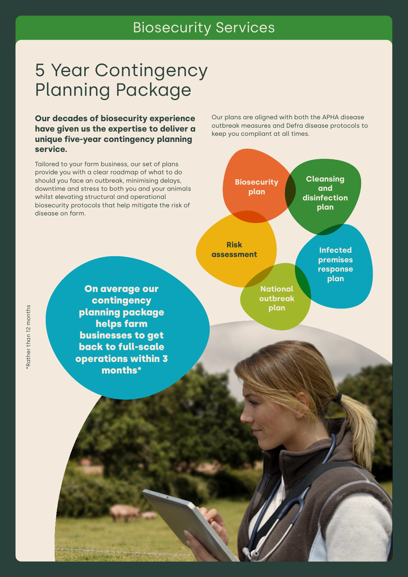## 5 Year Contingency Planning Package

**Our decades of biosecurity experience have given us the expertise to deliver a unique five-year contingency planning service.**

Tailored to your farm business, our set of plans provide you with a clear roadmap of what to do should you face an outbreak, minimising delays, downtime and stress to both you and your animals whilst elevating structural and operational biosecurity protocols that help mitigate the risk of disease on farm.

> On average our contingency planning package helps farm businesses to get back to full-scale operations within 3 months\*

Our plans are aligned with both the APHA disease outbreak measures and Defra disease protocols to keep you compliant at all times.



Rather than 12 months \*Rather than 12 months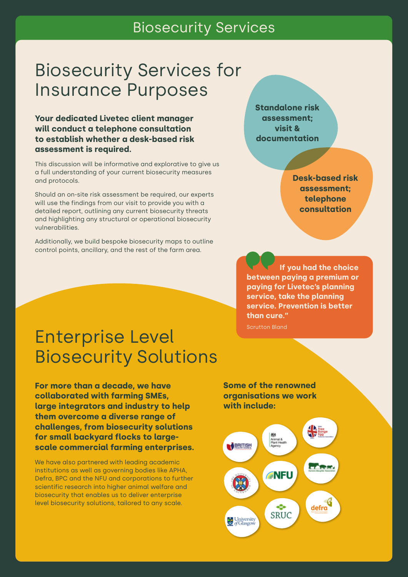## Biosecurity Services for Insurance Purposes

**Your dedicated Livetec client manager will conduct a telephone consultation to establish whether a desk-based risk assessment is required.**

This discussion will be informative and explorative to give us a full understanding of your current biosecurity measures and protocols.

Should an on-site risk assessment be required, our experts will use the findings from our visit to provide you with a detailed report, outlining any current biosecurity threats and highlighting any structural or operational biosecurity vulnerabilities.

Additionally, we build bespoke biosecurity maps to outline control points, ancillary, and the rest of the farm area.

**Standalone risk assessment; visit & documentation**

> **Desk-based risk assessment; telephone consultation**

**If you had the choice between paying a premium or paying for Livetec's planning service, take the planning service. Prevention is better than cure."** 

Scrutton Bland

## Enterprise Level Biosecurity Solutions

**For more than a decade, we have collaborated with farming SMEs, large integrators and industry to help them overcome a diverse range of challenges, from biosecurity solutions for small backyard flocks to largescale commercial farming enterprises.**

We have also partnered with leading academic institutions as well as governing bodies like APHA, Defra, BPC and the NFU and corporations to further scientific research into higher animal welfare and biosecurity that enables us to deliver enterprise level biosecurity solutions, tailored to any scale.

**Some of the renowned organisations we work with include:**